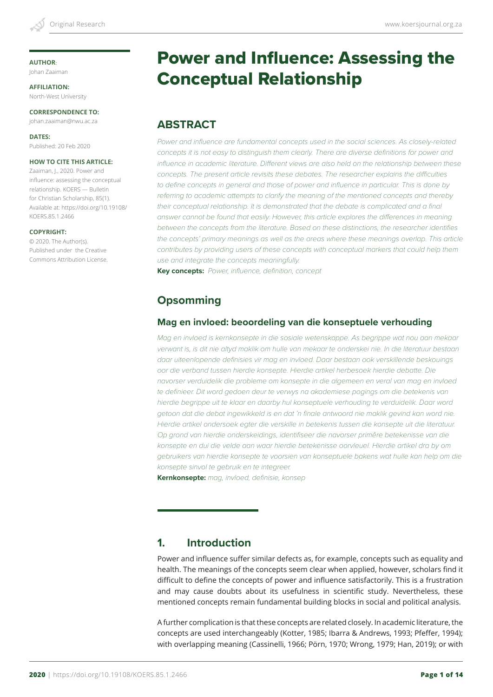#### **AUTHOR**:

Johan Zaaiman

**AFFILIATION:** North-West University

**CORRESPONDENCE TO:** johan.zaaiman@nwu.ac.za

**DATES:** Published: 20 Feb 2020

#### **HOW TO CITE THIS ARTICLE:**

Zaaiman, J., 2020. Power and influence: assessing the conceptual relationship. KOERS — Bulletin for Christian Scholarship, 85(1). Available at: https://doi.org/10.19108/ KOERS.85.1.2466

#### **COPYRIGHT:**

© 2020. The Author(s). Published under the Creative Commons Attribution License.

# Power and Influence: Assessing the

Conceptual Relationship

# **ABSTRACT**

*Power and influence are fundamental concepts used in the social sciences. As closely-related*  concepts it is not easy to distinguish them clearly. There are diverse definitions for power and *influence in academic literature. Different views are also held on the relationship between these concepts. The present article revisits these debates. The researcher explains the difficulties*  to define concepts in general and those of power and influence in particular. This is done by *referring to academic attempts to clarify the meaning of the mentioned concepts and thereby their conceptual relationship. It is demonstrated that the debate is complicated and a final answer cannot be found that easily. However, this article explores the differences in meaning between the concepts from the literature. Based on these distinctions, the researcher identifies*  the concepts' primary meanings as well as the areas where these meanings overlap. This article *contributes by providing users of these concepts with conceptual markers that could help them use and integrate the concepts meaningfully.*

**Key concepts:** *Power, influence, definition, concept*

# **Opsomming**

## **Mag en invloed: beoordeling van die konseptuele verhouding**

*Mag en invloed is kernkonsepte in die sosiale wetenskappe. As begrippe wat nou aan mekaar verwant is, is dit nie altyd maklik om hulle van mekaar te onderskei nie. In die literatuur bestaan daar uiteenlopende definisies vir mag en invloed. Daar bestaan ook verskillende beskouings oor die verband tussen hierdie konsepte. Hierdie artikel herbesoek hierdie debatte. Die navorser verduidelik die probleme om konsepte in die algemeen en veral van mag en invloed*  te definieer. Dit word gedoen deur te verwys na akademiese pogings om die betekenis van *hierdie begrippe uit te klaar en daarby hul konseptuele verhouding te verduidelik. Daar word getoon dat die debat ingewikkeld is en dat 'n finale antwoord nie maklik gevind kan word nie. Hierdie artikel ondersoek egter die verskille in betekenis tussen die konsepte uit die literatuur. Op grond van hierdie onderskeidings, identifiseer die navorser primêre betekenisse van die konsepte en dui die velde aan waar hierdie betekenisse oorvleuel. Hierdie artikel dra by om gebruikers van hierdie konsepte te voorsien van konseptuele bakens wat hulle kan help om die konsepte sinvol te gebruik en te integreer.*

**Kernkonsepte:** *mag, invloed, definisie, konsep*

# **1. Introduction**

Power and influence suffer similar defects as, for example, concepts such as equality and health. The meanings of the concepts seem clear when applied, however, scholars find it difficult to define the concepts of power and influence satisfactorily. This is a frustration and may cause doubts about its usefulness in scientific study. Nevertheless, these mentioned concepts remain fundamental building blocks in social and political analysis.

A further complication is that these concepts are related closely. In academic literature, the concepts are used interchangeably (Kotter, 1985; Ibarra & Andrews, 1993; Pfeffer, 1994); with overlapping meaning (Cassinelli, 1966; Pörn, 1970; Wrong, 1979; Han, 2019); or with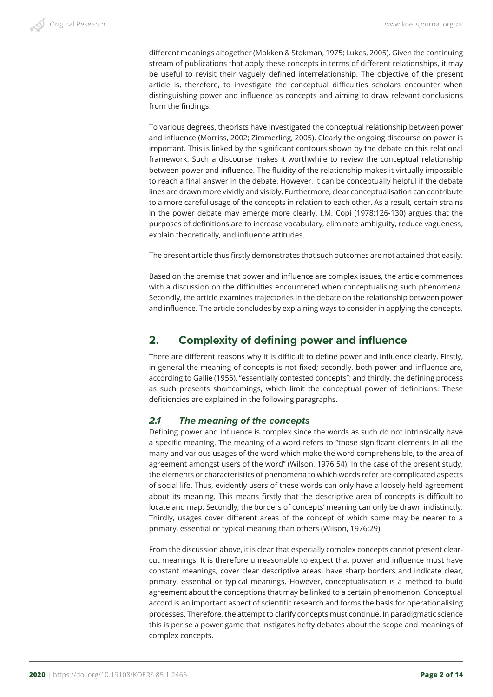different meanings altogether (Mokken & Stokman, 1975; Lukes, 2005). Given the continuing stream of publications that apply these concepts in terms of different relationships, it may be useful to revisit their vaguely defined interrelationship. The objective of the present article is, therefore, to investigate the conceptual difficulties scholars encounter when distinguishing power and influence as concepts and aiming to draw relevant conclusions from the findings.

To various degrees, theorists have investigated the conceptual relationship between power and influence (Morriss, 2002; Zimmerling, 2005). Clearly the ongoing discourse on power is important. This is linked by the significant contours shown by the debate on this relational framework. Such a discourse makes it worthwhile to review the conceptual relationship between power and influence. The fluidity of the relationship makes it virtually impossible to reach a final answer in the debate. However, it can be conceptually helpful if the debate lines are drawn more vividly and visibly. Furthermore, clear conceptualisation can contribute to a more careful usage of the concepts in relation to each other. As a result, certain strains in the power debate may emerge more clearly. I.M. Copi (1978:126-130) argues that the purposes of definitions are to increase vocabulary, eliminate ambiguity, reduce vagueness, explain theoretically, and influence attitudes.

The present article thus firstly demonstrates that such outcomes are not attained that easily.

Based on the premise that power and influence are complex issues, the article commences with a discussion on the difficulties encountered when conceptualising such phenomena. Secondly, the article examines trajectories in the debate on the relationship between power and influence. The article concludes by explaining ways to consider in applying the concepts.

# **2. Complexity of defining power and influence**

There are different reasons why it is difficult to define power and influence clearly. Firstly, in general the meaning of concepts is not fixed; secondly, both power and influence are, according to Gallie (1956), "essentially contested concepts"; and thirdly, the defining process as such presents shortcomings, which limit the conceptual power of definitions. These deficiencies are explained in the following paragraphs.

## *2.1 The meaning of the concepts*

Defining power and influence is complex since the words as such do not intrinsically have a specific meaning. The meaning of a word refers to "those significant elements in all the many and various usages of the word which make the word comprehensible, to the area of agreement amongst users of the word" (Wilson, 1976:54). In the case of the present study, the elements or characteristics of phenomena to which words refer are complicated aspects of social life. Thus, evidently users of these words can only have a loosely held agreement about its meaning. This means firstly that the descriptive area of concepts is difficult to locate and map. Secondly, the borders of concepts' meaning can only be drawn indistinctly. Thirdly, usages cover different areas of the concept of which some may be nearer to a primary, essential or typical meaning than others (Wilson, 1976:29).

From the discussion above, it is clear that especially complex concepts cannot present clearcut meanings. It is therefore unreasonable to expect that power and influence must have constant meanings, cover clear descriptive areas, have sharp borders and indicate clear, primary, essential or typical meanings. However, conceptualisation is a method to build agreement about the conceptions that may be linked to a certain phenomenon. Conceptual accord is an important aspect of scientific research and forms the basis for operationalising processes. Therefore, the attempt to clarify concepts must continue. In paradigmatic science this is per se a power game that instigates hefty debates about the scope and meanings of complex concepts.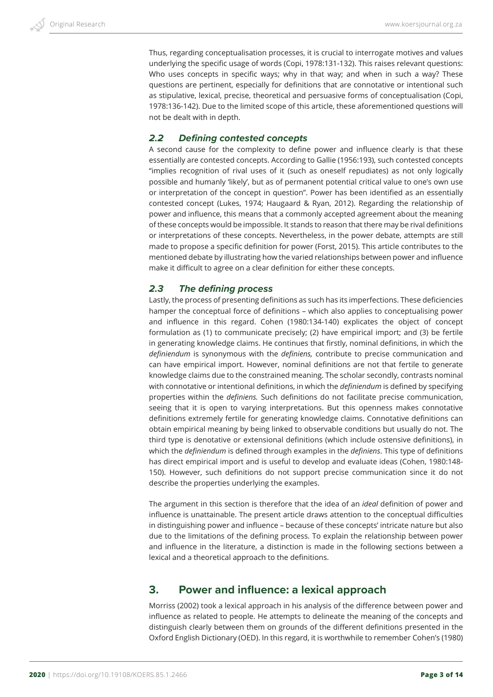Thus, regarding conceptualisation processes, it is crucial to interrogate motives and values underlying the specific usage of words (Copi, 1978:131-132). This raises relevant questions: Who uses concepts in specific ways; why in that way; and when in such a way? These questions are pertinent, especially for definitions that are connotative or intentional such as stipulative, lexical, precise, theoretical and persuasive forms of conceptualisation (Copi, 1978:136-142). Due to the limited scope of this article, these aforementioned questions will not be dealt with in depth.

## *2.2 Defining contested concepts*

A second cause for the complexity to define power and influence clearly is that these essentially are contested concepts. According to Gallie (1956:193), such contested concepts "implies recognition of rival uses of it (such as oneself repudiates) as not only logically possible and humanly 'likely', but as of permanent potential critical value to one's own use or interpretation of the concept in question". Power has been identified as an essentially contested concept (Lukes, 1974; Haugaard & Ryan, 2012). Regarding the relationship of power and influence, this means that a commonly accepted agreement about the meaning of these concepts would be impossible. It stands to reason that there may be rival definitions or interpretations of these concepts. Nevertheless, in the power debate, attempts are still made to propose a specific definition for power (Forst, 2015). This article contributes to the mentioned debate by illustrating how the varied relationships between power and influence make it difficult to agree on a clear definition for either these concepts.

## *2.3 The defining process*

Lastly, the process of presenting definitions as such has its imperfections. These deficiencies hamper the conceptual force of definitions – which also applies to conceptualising power and influence in this regard. Cohen (1980:134-140) explicates the object of concept formulation as (1) to communicate precisely; (2) have empirical import; and (3) be fertile in generating knowledge claims. He continues that firstly, nominal definitions, in which the *definiendum* is synonymous with the *definiens,* contribute to precise communication and can have empirical import. However, nominal definitions are not that fertile to generate knowledge claims due to the constrained meaning. The scholar secondly, contrasts nominal with connotative or intentional definitions, in which the *definiendum* is defined by specifying properties within the *definiens.* Such definitions do not facilitate precise communication, seeing that it is open to varying interpretations. But this openness makes connotative definitions extremely fertile for generating knowledge claims. Connotative definitions can obtain empirical meaning by being linked to observable conditions but usually do not. The third type is denotative or extensional definitions (which include ostensive definitions), in which the *definiendum* is defined through examples in the *definiens*. This type of definitions has direct empirical import and is useful to develop and evaluate ideas (Cohen, 1980:148- 150). However, such definitions do not support precise communication since it do not describe the properties underlying the examples.

The argument in this section is therefore that the idea of an *ideal* definition of power and influence is unattainable. The present article draws attention to the conceptual difficulties in distinguishing power and influence – because of these concepts' intricate nature but also due to the limitations of the defining process. To explain the relationship between power and influence in the literature, a distinction is made in the following sections between a lexical and a theoretical approach to the definitions.

# **3. Power and influence: a lexical approach**

Morriss (2002) took a lexical approach in his analysis of the difference between power and influence as related to people. He attempts to delineate the meaning of the concepts and distinguish clearly between them on grounds of the different definitions presented in the Oxford English Dictionary (OED). In this regard, it is worthwhile to remember Cohen's (1980)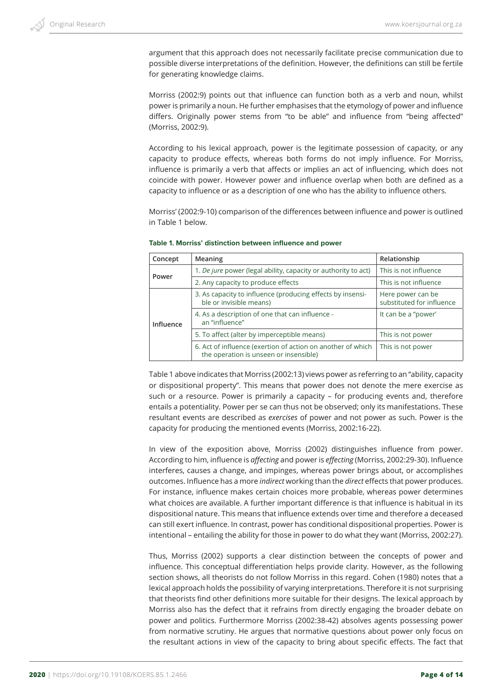argument that this approach does not necessarily facilitate precise communication due to possible diverse interpretations of the definition. However, the definitions can still be fertile for generating knowledge claims.

Morriss (2002:9) points out that influence can function both as a verb and noun, whilst power is primarily a noun. He further emphasises that the etymology of power and influence differs. Originally power stems from "to be able" and influence from "being affected" (Morriss, 2002:9).

According to his lexical approach, power is the legitimate possession of capacity, or any capacity to produce effects, whereas both forms do not imply influence. For Morriss, influence is primarily a verb that affects or implies an act of influencing, which does not coincide with power. However power and influence overlap when both are defined as a capacity to influence or as a description of one who has the ability to influence others.

Morriss' (2002:9-10) comparison of the differences between influence and power is outlined in Table 1 below.

| Concept   | Meaning                                                                                               | Relationship                                   |  |
|-----------|-------------------------------------------------------------------------------------------------------|------------------------------------------------|--|
| Power     | 1. De jure power (legal ability, capacity or authority to act)                                        | This is not influence                          |  |
|           | 2. Any capacity to produce effects                                                                    | This is not influence                          |  |
|           | 3. As capacity to influence (producing effects by insensi-<br>ble or invisible means)                 | Here power can be<br>substituted for influence |  |
| Influence | 4. As a description of one that can influence -<br>an "influence"                                     | It can be a "power"                            |  |
|           | 5. To affect (alter by imperceptible means)                                                           | This is not power                              |  |
|           | 6. Act of influence (exertion of action on another of which<br>the operation is unseen or insensible) | This is not power                              |  |

#### **Table 1. Morriss' distinction between influence and power**

Table 1 above indicates that Morriss (2002:13) views power as referring to an "ability, capacity or dispositional property". This means that power does not denote the mere exercise as such or a resource. Power is primarily a capacity – for producing events and, therefore entails a potentiality. Power per se can thus not be observed; only its manifestations. These resultant events are described as *exercises* of power and not power as such. Power is the capacity for producing the mentioned events (Morriss, 2002:16-22).

In view of the exposition above, Morriss (2002) distinguishes influence from power. According to him, influence is *affecting* and power is *effecting* (Morriss, 2002:29-30). Influence interferes, causes a change, and impinges, whereas power brings about, or accomplishes outcomes. Influence has a more *indirect* working than the *direct* effects that power produces. For instance, influence makes certain choices more probable, whereas power determines what choices are available. A further important difference is that influence is habitual in its dispositional nature. This means that influence extends over time and therefore a deceased can still exert influence. In contrast, power has conditional dispositional properties. Power is intentional – entailing the ability for those in power to do what they want (Morriss, 2002:27).

Thus, Morriss (2002) supports a clear distinction between the concepts of power and influence. This conceptual differentiation helps provide clarity. However, as the following section shows, all theorists do not follow Morriss in this regard. Cohen (1980) notes that a lexical approach holds the possibility of varying interpretations. Therefore it is not surprising that theorists find other definitions more suitable for their designs. The lexical approach by Morriss also has the defect that it refrains from directly engaging the broader debate on power and politics. Furthermore Morriss (2002:38-42) absolves agents possessing power from normative scrutiny. He argues that normative questions about power only focus on the resultant actions in view of the capacity to bring about specific effects. The fact that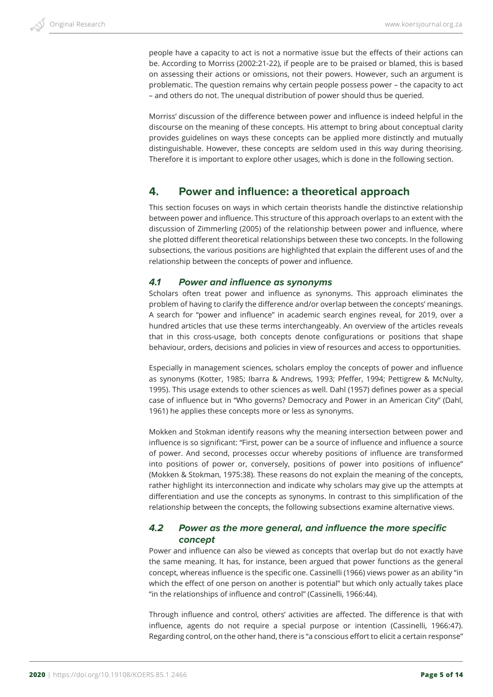people have a capacity to act is not a normative issue but the effects of their actions can be. According to Morriss (2002:21-22), if people are to be praised or blamed, this is based on assessing their actions or omissions, not their powers. However, such an argument is problematic. The question remains why certain people possess power – the capacity to act – and others do not. The unequal distribution of power should thus be queried.

Morriss' discussion of the difference between power and influence is indeed helpful in the discourse on the meaning of these concepts. His attempt to bring about conceptual clarity provides guidelines on ways these concepts can be applied more distinctly and mutually distinguishable. However, these concepts are seldom used in this way during theorising. Therefore it is important to explore other usages, which is done in the following section.

# **4. Power and influence: a theoretical approach**

This section focuses on ways in which certain theorists handle the distinctive relationship between power and influence. This structure of this approach overlaps to an extent with the discussion of Zimmerling (2005) of the relationship between power and influence, where she plotted different theoretical relationships between these two concepts. In the following subsections, the various positions are highlighted that explain the different uses of and the relationship between the concepts of power and influence.

## *4.1 Power and influence as synonyms*

Scholars often treat power and influence as synonyms. This approach eliminates the problem of having to clarify the difference and/or overlap between the concepts' meanings. A search for "power and influence" in academic search engines reveal, for 2019, over a hundred articles that use these terms interchangeably. An overview of the articles reveals that in this cross-usage, both concepts denote configurations or positions that shape behaviour, orders, decisions and policies in view of resources and access to opportunities.

Especially in management sciences, scholars employ the concepts of power and influence as synonyms (Kotter, 1985; Ibarra & Andrews, 1993; Pfeffer, 1994; Pettigrew & McNulty, 1995). This usage extends to other sciences as well. Dahl (1957) defines power as a special case of influence but in "Who governs? Democracy and Power in an American City" (Dahl, 1961) he applies these concepts more or less as synonyms.

Mokken and Stokman identify reasons why the meaning intersection between power and influence is so significant: "First, power can be a source of influence and influence a source of power. And second, processes occur whereby positions of influence are transformed into positions of power or, conversely, positions of power into positions of influence" (Mokken & Stokman, 1975:38). These reasons do not explain the meaning of the concepts, rather highlight its interconnection and indicate why scholars may give up the attempts at differentiation and use the concepts as synonyms. In contrast to this simplification of the relationship between the concepts, the following subsections examine alternative views.

## *4.2 Power as the more general, and influence the more specific concept*

Power and influence can also be viewed as concepts that overlap but do not exactly have the same meaning. It has, for instance, been argued that power functions as the general concept, whereas influence is the specific one. Cassinelli (1966) views power as an ability "in which the effect of one person on another is potential" but which only actually takes place "in the relationships of influence and control" (Cassinelli, 1966:44).

Through influence and control, others' activities are affected. The difference is that with influence, agents do not require a special purpose or intention (Cassinelli, 1966:47). Regarding control, on the other hand, there is "a conscious effort to elicit a certain response"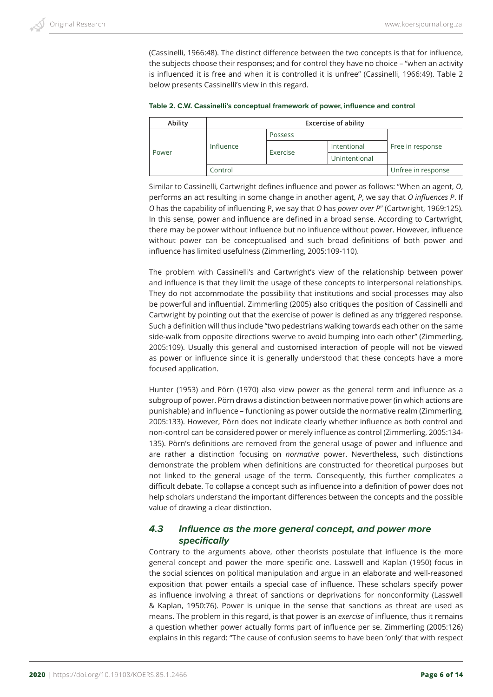(Cassinelli, 1966:48). The distinct difference between the two concepts is that for influence, the subjects choose their responses; and for control they have no choice – "when an activity is influenced it is free and when it is controlled it is unfree" (Cassinelli, 1966:49). Table 2 below presents Cassinelli's view in this regard.

| Ability | <b>Excercise of ability</b> |          |               |                    |
|---------|-----------------------------|----------|---------------|--------------------|
|         |                             | Possess  |               | Free in response   |
|         | Influence                   |          | Intentional   |                    |
| Power   |                             | Exercise | Unintentional |                    |
|         | Control                     |          |               | Unfree in response |

**Table 2. C.W. Cassinelli's conceptual framework of power, influence and control**

Similar to Cassinelli, Cartwright defines influence and power as follows: "When an agent, *O*, performs an act resulting in some change in another agent, *P*, we say that *O influences P*. If *O* has the capability of influencing P, we say that *O* has *power over P*" (Cartwright, 1969:125). In this sense, power and influence are defined in a broad sense. According to Cartwright, there may be power without influence but no influence without power. However, influence without power can be conceptualised and such broad definitions of both power and influence has limited usefulness (Zimmerling, 2005:109-110).

The problem with Cassinelli's and Cartwright's view of the relationship between power and influence is that they limit the usage of these concepts to interpersonal relationships. They do not accommodate the possibility that institutions and social processes may also be powerful and influential. Zimmerling (2005) also critiques the position of Cassinelli and Cartwright by pointing out that the exercise of power is defined as any triggered response. Such a definition will thus include "two pedestrians walking towards each other on the same side-walk from opposite directions swerve to avoid bumping into each other" (Zimmerling, 2005:109). Usually this general and customised interaction of people will not be viewed as power or influence since it is generally understood that these concepts have a more focused application.

Hunter (1953) and Pörn (1970) also view power as the general term and influence as a subgroup of power. Pörn draws a distinction between normative power (in which actions are punishable) and influence – functioning as power outside the normative realm (Zimmerling, 2005:133). However, Pörn does not indicate clearly whether influence as both control and non-control can be considered power or merely influence as control (Zimmerling, 2005:134- 135). Pörn's definitions are removed from the general usage of power and influence and are rather a distinction focusing on *normative* power. Nevertheless, such distinctions demonstrate the problem when definitions are constructed for theoretical purposes but not linked to the general usage of the term. Consequently, this further complicates a difficult debate. To collapse a concept such as influence into a definition of power does not help scholars understand the important differences between the concepts and the possible value of drawing a clear distinction.

## *4.3 Influence as the more general concept, and power more specifically*

Contrary to the arguments above, other theorists postulate that influence is the more general concept and power the more specific one. Lasswell and Kaplan (1950) focus in the social sciences on political manipulation and argue in an elaborate and well-reasoned exposition that power entails a special case of influence. These scholars specify power as influence involving a threat of sanctions or deprivations for nonconformity (Lasswell & Kaplan, 1950:76). Power is unique in the sense that sanctions as threat are used as means. The problem in this regard, is that power is an *exercise* of influence, thus it remains a question whether power actually forms part of influence per se. Zimmerling (2005:126) explains in this regard: "The cause of confusion seems to have been 'only' that with respect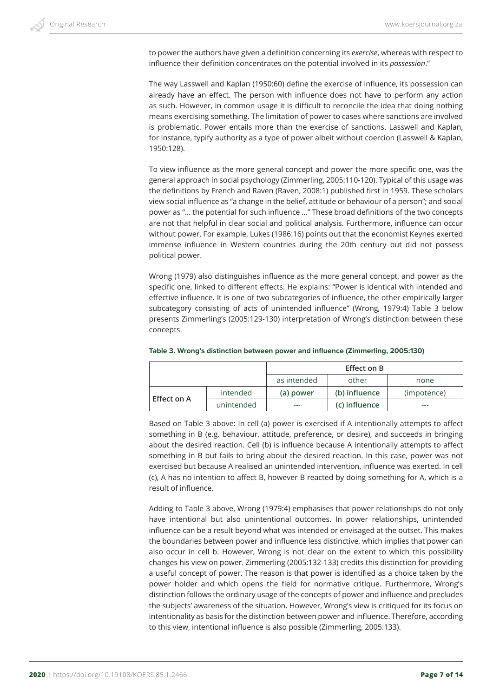to power the authors have given a definition concerning its *exercise*, whereas with respect to influence their definition concentrates on the potential involved in its *possession*."

The way Lasswell and Kaplan (1950:60) define the exercise of influence, its possession can already have an effect. The person with influence does not have to perform any action as such. However, in common usage it is difficult to reconcile the idea that doing nothing means exercising something. The limitation of power to cases where sanctions are involved is problematic. Power entails more than the exercise of sanctions. Lasswell and Kaplan, for instance, typify authority as a type of power albeit without coercion (Lasswell & Kaplan, 1950:128).

To view influence as the more general concept and power the more specific one, was the general approach in social psychology (Zimmerling, 2005:110-120). Typical of this usage was the definitions by French and Raven (Raven, 2008:1) published first in 1959. These scholars view social influence as "a change in the belief, attitude or behaviour of a person"; and social power as "… the potential for such influence …" These broad definitions of the two concepts are not that helpful in clear social and political analysis. Furthermore, influence can occur without power. For example, Lukes (1986:16) points out that the economist Keynes exerted immense influence in Western countries during the 20th century but did not possess political power.

Wrong (1979) also distinguishes influence as the more general concept, and power as the specific one, linked to different effects. He explains: "Power is identical with intended and effective influence. It is one of two subcategories of influence, the other empirically larger subcategory consisting of acts of unintended influence" (Wrong, 1979:4) Table 3 below presents Zimmerling's (2005:129-130) interpretation of Wrong's distinction between these concepts.

|             |            |             | <b>Effect on B</b> |             |
|-------------|------------|-------------|--------------------|-------------|
|             |            | as intended | other              | none        |
| Effect on A | intended   | (a) power   | (b) influence      | (impotence) |
|             | unintended | ---         | (c) influence      | ---         |

#### **Table 3. Wrong's distinction between power and influence (Zimmerling, 2005:130)**

Based on Table 3 above: In cell (a) power is exercised if A intentionally attempts to affect something in B (e.g. behaviour, attitude, preference, or desire), and succeeds in bringing about the desired reaction. Cell (b) is influence because A intentionally attempts to affect something in B but fails to bring about the desired reaction. In this case, power was not exercised but because A realised an unintended intervention, influence was exerted. In cell (c), A has no intention to affect B, however B reacted by doing something for A, which is a result of influence.

Adding to Table 3 above, Wrong (1979:4) emphasises that power relationships do not only have intentional but also unintentional outcomes. In power relationships, unintended influence can be a result beyond what was intended or envisaged at the outset. This makes the boundaries between power and influence less distinctive, which implies that power can also occur in cell b. However, Wrong is not clear on the extent to which this possibility changes his view on power. Zimmerling (2005:132-133) credits this distinction for providing a useful concept of power. The reason is that power is identified as a choice taken by the power holder and which opens the field for normative critique. Furthermore, Wrong's distinction follows the ordinary usage of the concepts of power and influence and precludes the subjects' awareness of the situation. However, Wrong's view is critiqued for its focus on intentionality as basis for the distinction between power and influence. Therefore, according to this view, intentional influence is also possible (Zimmerling, 2005:133).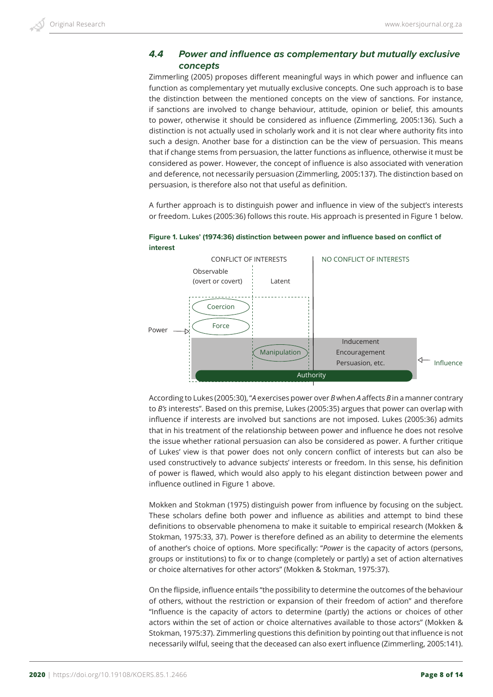## *4.4 Power and influence as complementary but mutually exclusive concepts*

Zimmerling (2005) proposes different meaningful ways in which power and influence can function as complementary yet mutually exclusive concepts. One such approach is to base the distinction between the mentioned concepts on the view of sanctions. For instance, if sanctions are involved to change behaviour, attitude, opinion or belief, this amounts to power, otherwise it should be considered as influence (Zimmerling, 2005:136). Such a distinction is not actually used in scholarly work and it is not clear where authority fits into such a design. Another base for a distinction can be the view of persuasion. This means that if change stems from persuasion, the latter functions as influence, otherwise it must be considered as power. However, the concept of influence is also associated with veneration and deference, not necessarily persuasion (Zimmerling, 2005:137). The distinction based on persuasion, is therefore also not that useful as definition.

A further approach is to distinguish power and influence in view of the subject's interests or freedom. Lukes (2005:36) follows this route. His approach is presented in Figure 1 below.





According to Lukes (2005:30), "*A* exercises power over *B* when *A* affects *B* in a manner contrary to *B's* interests". Based on this premise, Lukes (2005:35) argues that power can overlap with influence if interests are involved but sanctions are not imposed. Lukes (2005:36) admits that in his treatment of the relationship between power and influence he does not resolve the issue whether rational persuasion can also be considered as power. A further critique of Lukes' view is that power does not only concern conflict of interests but can also be used constructively to advance subjects' interests or freedom. In this sense, his definition of power is flawed, which would also apply to his elegant distinction between power and influence outlined in Figure 1 above.

Mokken and Stokman (1975) distinguish power from influence by focusing on the subject. These scholars define both power and influence as abilities and attempt to bind these definitions to observable phenomena to make it suitable to empirical research (Mokken & Stokman, 1975:33, 37). Power is therefore defined as an ability to determine the elements of another's choice of options. More specifically: "*Power* is the capacity of actors (persons, groups or institutions) to fix or to change (completely or partly) a set of action alternatives or choice alternatives for other actors" (Mokken & Stokman, 1975:37).

On the flipside, influence entails "the possibility to determine the outcomes of the behaviour of others, without the restriction or expansion of their freedom of action" and therefore "Influence is the capacity of actors to determine (partly) the actions or choices of other actors within the set of action or choice alternatives available to those actors" (Mokken & Stokman, 1975:37). Zimmerling questions this definition by pointing out that influence is not necessarily wilful, seeing that the deceased can also exert influence (Zimmerling, 2005:141).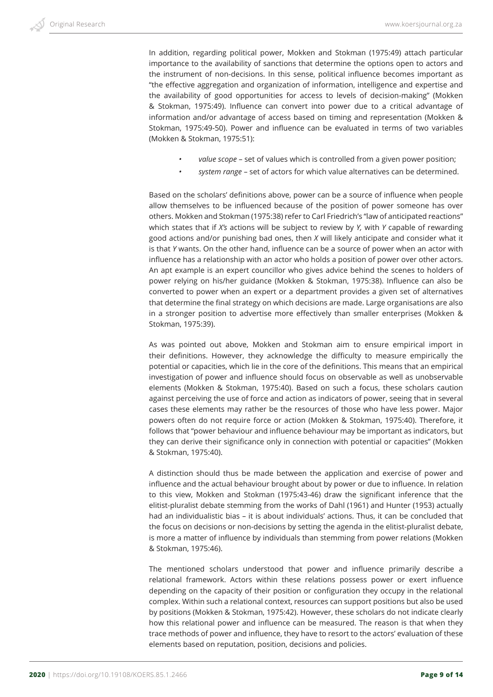In addition, regarding political power, Mokken and Stokman (1975:49) attach particular importance to the availability of sanctions that determine the options open to actors and the instrument of non-decisions. In this sense, political influence becomes important as "the effective aggregation and organization of information, intelligence and expertise and the availability of good opportunities for access to levels of decision-making" (Mokken & Stokman, 1975:49). Influence can convert into power due to a critical advantage of information and/or advantage of access based on timing and representation (Mokken & Stokman, 1975:49-50). Power and influence can be evaluated in terms of two variables (Mokken & Stokman, 1975:51):

- *• value scope* set of values which is controlled from a given power position;
- *• system range* set of actors for which value alternatives can be determined.

Based on the scholars' definitions above, power can be a source of influence when people allow themselves to be influenced because of the position of power someone has over others. Mokken and Stokman (1975:38) refer to Carl Friedrich's "law of anticipated reactions" which states that if *X's* actions will be subject to review by *Y,* with *Y* capable of rewarding good actions and/or punishing bad ones, then *X* will likely anticipate and consider what it is that *Y* wants. On the other hand, influence can be a source of power when an actor with influence has a relationship with an actor who holds a position of power over other actors. An apt example is an expert councillor who gives advice behind the scenes to holders of power relying on his/her guidance (Mokken & Stokman, 1975:38). Influence can also be converted to power when an expert or a department provides a given set of alternatives that determine the final strategy on which decisions are made. Large organisations are also in a stronger position to advertise more effectively than smaller enterprises (Mokken & Stokman, 1975:39).

As was pointed out above, Mokken and Stokman aim to ensure empirical import in their definitions. However, they acknowledge the difficulty to measure empirically the potential or capacities, which lie in the core of the definitions. This means that an empirical investigation of power and influence should focus on observable as well as unobservable elements (Mokken & Stokman, 1975:40). Based on such a focus, these scholars caution against perceiving the use of force and action as indicators of power, seeing that in several cases these elements may rather be the resources of those who have less power. Major powers often do not require force or action (Mokken & Stokman, 1975:40). Therefore, it follows that "power behaviour and influence behaviour may be important as indicators, but they can derive their significance only in connection with potential or capacities" (Mokken & Stokman, 1975:40).

A distinction should thus be made between the application and exercise of power and influence and the actual behaviour brought about by power or due to influence. In relation to this view, Mokken and Stokman (1975:43-46) draw the significant inference that the elitist-pluralist debate stemming from the works of Dahl (1961) and Hunter (1953) actually had an individualistic bias – it is about individuals' actions. Thus, it can be concluded that the focus on decisions or non-decisions by setting the agenda in the elitist-pluralist debate, is more a matter of influence by individuals than stemming from power relations (Mokken & Stokman, 1975:46).

The mentioned scholars understood that power and influence primarily describe a relational framework. Actors within these relations possess power or exert influence depending on the capacity of their position or configuration they occupy in the relational complex. Within such a relational context, resources can support positions but also be used by positions (Mokken & Stokman, 1975:42). However, these scholars do not indicate clearly how this relational power and influence can be measured. The reason is that when they trace methods of power and influence, they have to resort to the actors' evaluation of these elements based on reputation, position, decisions and policies.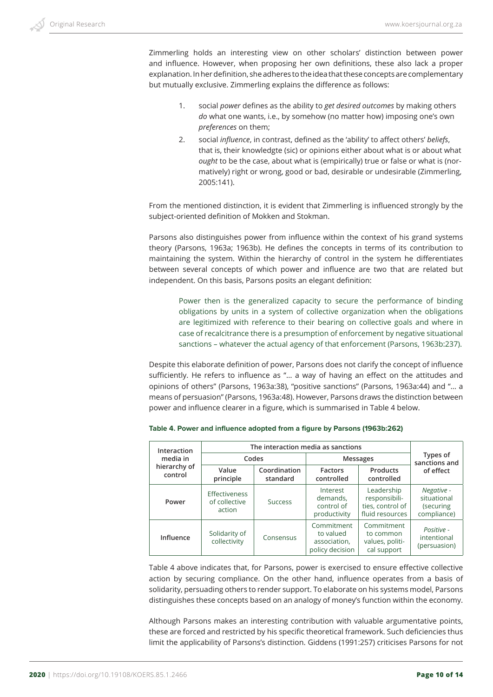Zimmerling holds an interesting view on other scholars' distinction between power and influence. However, when proposing her own definitions, these also lack a proper explanation. In her definition, she adheres to the idea that these concepts are complementary but mutually exclusive. Zimmerling explains the difference as follows:

- 1. social *power* defines as the ability to *get desired outcomes* by making others *do* what one wants, i.e., by somehow (no matter how) imposing one's own *preferences* on them;
- 2. social *influence*, in contrast, defined as the 'ability' to affect others' *beliefs*, that is, their knowledgte (sic) or opinions either about what is or about what *ought* to be the case, about what is (empirically) true or false or what is (normatively) right or wrong, good or bad, desirable or undesirable (Zimmerling, 2005:141).

From the mentioned distinction, it is evident that Zimmerling is influenced strongly by the subject-oriented definition of Mokken and Stokman.

Parsons also distinguishes power from influence within the context of his grand systems theory (Parsons, 1963a; 1963b). He defines the concepts in terms of its contribution to maintaining the system. Within the hierarchy of control in the system he differentiates between several concepts of which power and influence are two that are related but independent. On this basis, Parsons posits an elegant definition:

Power then is the generalized capacity to secure the performance of binding obligations by units in a system of collective organization when the obligations are legitimized with reference to their bearing on collective goals and where in case of recalcitrance there is a presumption of enforcement by negative situational sanctions – whatever the actual agency of that enforcement (Parsons, 1963b:237).

Despite this elaborate definition of power, Parsons does not clarify the concept of influence sufficiently. He refers to influence as "… a way of having an effect on the attitudes and opinions of others" (Parsons, 1963a:38), "positive sanctions" (Parsons, 1963a:44) and "… a means of persuasion" (Parsons, 1963a:48). However, Parsons draws the distinction between power and influence clearer in a figure, which is summarised in Table 4 below.

| Interaction             | The interaction media as sanctions       |                |                                                            |                                                                    |                                                       |
|-------------------------|------------------------------------------|----------------|------------------------------------------------------------|--------------------------------------------------------------------|-------------------------------------------------------|
| media in                | Codes                                    |                | <b>Messages</b>                                            |                                                                    | Types of<br>sanctions and                             |
| hierarchy of<br>control | Value<br>principle                       |                | <b>Factors</b><br>controlled                               | Products<br>controlled                                             | of effect                                             |
| Power                   | Effectiveness<br>of collective<br>action | <b>Success</b> | Interest<br>demands,<br>control of<br>productivity         | Leadership<br>responsibili-<br>ties, control of<br>fluid resources | Negative -<br>situational<br>(securing<br>compliance) |
| Influence               | Solidarity of<br>collectivity            | Consensus      | Commitment<br>to valued<br>association,<br>policy decision | Commitment<br>to common<br>values, politi-<br>cal support          | Positive -<br>intentional<br>(persuasion)             |

**Table 4. Power and influence adopted from a figure by Parsons (1963b:262)**

Table 4 above indicates that, for Parsons, power is exercised to ensure effective collective action by securing compliance. On the other hand, influence operates from a basis of solidarity, persuading others to render support. To elaborate on his systems model, Parsons distinguishes these concepts based on an analogy of money's function within the economy.

Although Parsons makes an interesting contribution with valuable argumentative points, these are forced and restricted by his specific theoretical framework. Such deficiencies thus limit the applicability of Parsons's distinction. Giddens (1991:257) criticises Parsons for not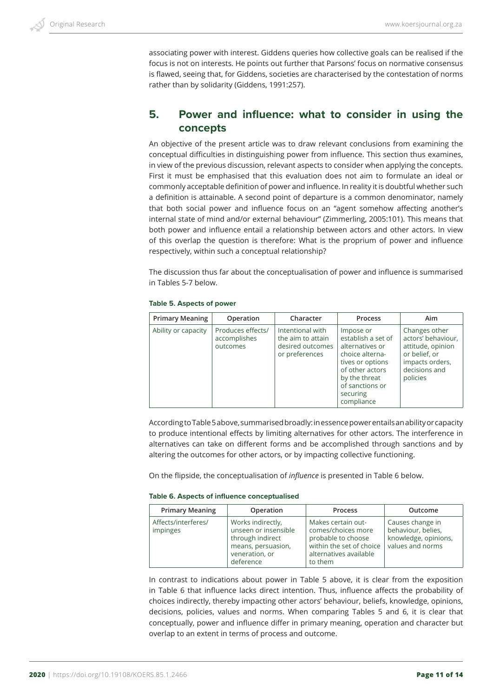associating power with interest. Giddens queries how collective goals can be realised if the focus is not on interests. He points out further that Parsons' focus on normative consensus is flawed, seeing that, for Giddens, societies are characterised by the contestation of norms rather than by solidarity (Giddens, 1991:257).

# **5. Power and influence: what to consider in using the concepts**

An objective of the present article was to draw relevant conclusions from examining the conceptual difficulties in distinguishing power from influence. This section thus examines, in view of the previous discussion, relevant aspects to consider when applying the concepts. First it must be emphasised that this evaluation does not aim to formulate an ideal or commonly acceptable definition of power and influence. In reality it is doubtful whether such a definition is attainable. A second point of departure is a common denominator, namely that both social power and influence focus on an "agent somehow affecting another's internal state of mind and/or external behaviour" (Zimmerling, 2005:101). This means that both power and influence entail a relationship between actors and other actors. In view of this overlap the question is therefore: What is the proprium of power and influence respectively, within such a conceptual relationship?

The discussion thus far about the conceptualisation of power and influence is summarised in Tables 5-7 below.

#### **Table 5. Aspects of power**

| <b>Primary Meaning</b> | Operation                                     | Character                                                                   | Process                                                                                                                                                                    | Aim                                                                                                                       |
|------------------------|-----------------------------------------------|-----------------------------------------------------------------------------|----------------------------------------------------------------------------------------------------------------------------------------------------------------------------|---------------------------------------------------------------------------------------------------------------------------|
| Ability or capacity    | Produces effects/<br>accomplishes<br>outcomes | Intentional with<br>the aim to attain<br>desired outcomes<br>or preferences | Impose or<br>establish a set of<br>alternatives or<br>choice alterna-<br>tives or options<br>of other actors<br>by the threat<br>of sanctions or<br>securing<br>compliance | Changes other<br>actors' behaviour,<br>attitude, opinion<br>or belief, or<br>impacts orders,<br>decisions and<br>policies |

According to Table 5 above, summarised broadly: in essence power entails an ability or capacity to produce intentional effects by limiting alternatives for other actors. The interference in alternatives can take on different forms and be accomplished through sanctions and by altering the outcomes for other actors, or by impacting collective functioning.

On the flipside, the conceptualisation of *influence* is presented in Table 6 below.

#### **Table 6. Aspects of influence conceptualised**

| <b>Primary Meaning</b>          | Operation                                                                                                          | Process                                                                                                                         | Outcome                                                                            |
|---------------------------------|--------------------------------------------------------------------------------------------------------------------|---------------------------------------------------------------------------------------------------------------------------------|------------------------------------------------------------------------------------|
| Affects/interferes/<br>impinges | Works indirectly,<br>unseen or insensible<br>through indirect<br>means, persuasion,<br>veneration, or<br>deference | Makes certain out-<br>comes/choices more<br>probable to choose<br>within the set of choice<br>alternatives available<br>to them | Causes change in<br>behaviour, belies,<br>knowledge, opinions,<br>values and norms |

In contrast to indications about power in Table 5 above, it is clear from the exposition in Table 6 that influence lacks direct intention. Thus, influence affects the probability of choices indirectly, thereby impacting other actors' behaviour, beliefs, knowledge, opinions, decisions, policies, values and norms. When comparing Tables 5 and 6, it is clear that conceptually, power and influence differ in primary meaning, operation and character but overlap to an extent in terms of process and outcome.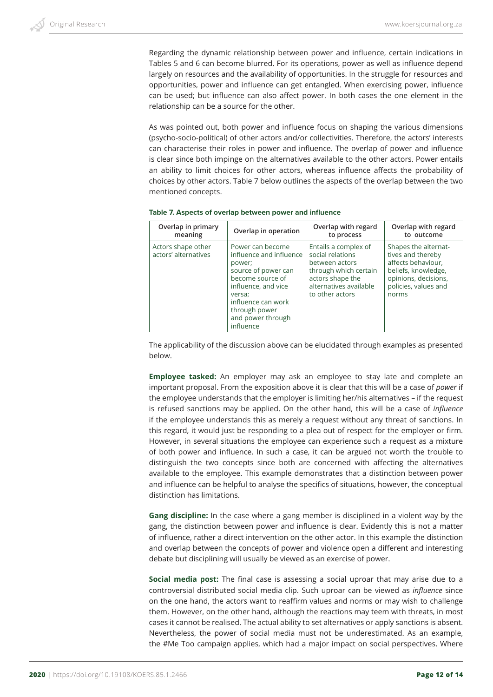Regarding the dynamic relationship between power and influence, certain indications in Tables 5 and 6 can become blurred. For its operations, power as well as influence depend largely on resources and the availability of opportunities. In the struggle for resources and opportunities, power and influence can get entangled. When exercising power, influence can be used; but influence can also affect power. In both cases the one element in the relationship can be a source for the other.

As was pointed out, both power and influence focus on shaping the various dimensions (psycho-socio-political) of other actors and/or collectivities. Therefore, the actors' interests can characterise their roles in power and influence. The overlap of power and influence is clear since both impinge on the alternatives available to the other actors. Power entails an ability to limit choices for other actors, whereas influence affects the probability of choices by other actors. Table 7 below outlines the aspects of the overlap between the two mentioned concepts.

| Overlap in primary                         | Overlap in operation                                                                                                                                                                                       | Overlap with regard                                                                                                                                  | Overlap with regard                                                                                                                             |
|--------------------------------------------|------------------------------------------------------------------------------------------------------------------------------------------------------------------------------------------------------------|------------------------------------------------------------------------------------------------------------------------------------------------------|-------------------------------------------------------------------------------------------------------------------------------------------------|
| meaning                                    |                                                                                                                                                                                                            | to process                                                                                                                                           | to outcome                                                                                                                                      |
| Actors shape other<br>actors' alternatives | Power can become<br>influence and influence<br>power;<br>source of power can<br>become source of<br>influence, and vice<br>versa:<br>influence can work<br>through power<br>and power through<br>influence | Entails a complex of<br>social relations<br>between actors<br>through which certain<br>actors shape the<br>alternatives available<br>to other actors | Shapes the alternat-<br>tives and thereby<br>affects behaviour,<br>beliefs, knowledge,<br>opinions, decisions,<br>policies, values and<br>norms |

**Table 7. Aspects of overlap between power and influence**

The applicability of the discussion above can be elucidated through examples as presented below.

**Employee tasked:** An employer may ask an employee to stay late and complete an important proposal. From the exposition above it is clear that this will be a case of *power* if the employee understands that the employer is limiting her/his alternatives – if the request is refused sanctions may be applied. On the other hand, this will be a case of *influence* if the employee understands this as merely a request without any threat of sanctions. In this regard, it would just be responding to a plea out of respect for the employer or firm. However, in several situations the employee can experience such a request as a mixture of both power and influence. In such a case, it can be argued not worth the trouble to distinguish the two concepts since both are concerned with affecting the alternatives available to the employee. This example demonstrates that a distinction between power and influence can be helpful to analyse the specifics of situations, however, the conceptual distinction has limitations.

**Gang discipline:** In the case where a gang member is disciplined in a violent way by the gang, the distinction between power and influence is clear. Evidently this is not a matter of influence, rather a direct intervention on the other actor. In this example the distinction and overlap between the concepts of power and violence open a different and interesting debate but disciplining will usually be viewed as an exercise of power.

**Social media post:** The final case is assessing a social uproar that may arise due to a controversial distributed social media clip. Such uproar can be viewed as *influence* since on the one hand, the actors want to reaffirm values and norms or may wish to challenge them. However, on the other hand, although the reactions may teem with threats, in most cases it cannot be realised. The actual ability to set alternatives or apply sanctions is absent. Nevertheless, the power of social media must not be underestimated. As an example, the #Me Too campaign applies, which had a major impact on social perspectives. Where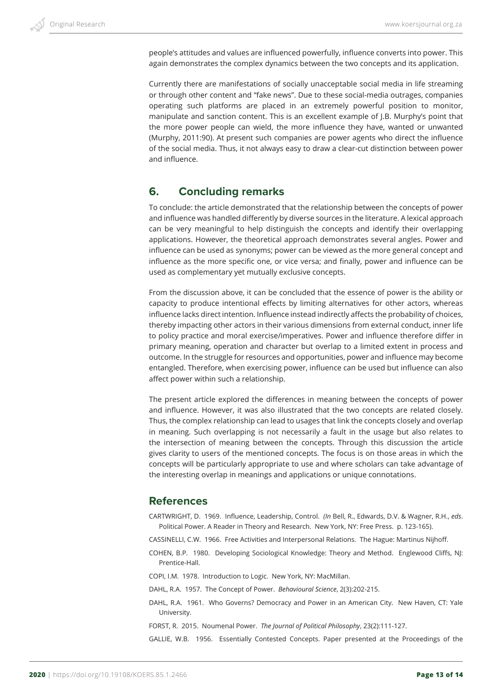people's attitudes and values are influenced powerfully, influence converts into power. This again demonstrates the complex dynamics between the two concepts and its application.

Currently there are manifestations of socially unacceptable social media in life streaming or through other content and "fake news". Due to these social-media outrages, companies operating such platforms are placed in an extremely powerful position to monitor, manipulate and sanction content. This is an excellent example of J.B. Murphy's point that the more power people can wield, the more influence they have, wanted or unwanted (Murphy, 2011:90). At present such companies are power agents who direct the influence of the social media. Thus, it not always easy to draw a clear-cut distinction between power and influence.

# **6. Concluding remarks**

To conclude: the article demonstrated that the relationship between the concepts of power and influence was handled differently by diverse sources in the literature. A lexical approach can be very meaningful to help distinguish the concepts and identify their overlapping applications. However, the theoretical approach demonstrates several angles. Power and influence can be used as synonyms; power can be viewed as the more general concept and influence as the more specific one, or vice versa; and finally, power and influence can be used as complementary yet mutually exclusive concepts.

From the discussion above, it can be concluded that the essence of power is the ability or capacity to produce intentional effects by limiting alternatives for other actors, whereas influence lacks direct intention. Influence instead indirectly affects the probability of choices, thereby impacting other actors in their various dimensions from external conduct, inner life to policy practice and moral exercise/imperatives. Power and influence therefore differ in primary meaning, operation and character but overlap to a limited extent in process and outcome. In the struggle for resources and opportunities, power and influence may become entangled. Therefore, when exercising power, influence can be used but influence can also affect power within such a relationship.

The present article explored the differences in meaning between the concepts of power and influence. However, it was also illustrated that the two concepts are related closely. Thus, the complex relationship can lead to usages that link the concepts closely and overlap in meaning. Such overlapping is not necessarily a fault in the usage but also relates to the intersection of meaning between the concepts. Through this discussion the article gives clarity to users of the mentioned concepts. The focus is on those areas in which the concepts will be particularly appropriate to use and where scholars can take advantage of the interesting overlap in meanings and applications or unique connotations.

# **References**

- CARTWRIGHT, D. 1969. Influence, Leadership, Control. *(In* Bell, R., Edwards, D.V. & Wagner, R.H., *eds*. Political Power. A Reader in Theory and Research. New York, NY: Free Press. p. 123-165).
- CASSINELLI, C.W. 1966. Free Activities and Interpersonal Relations. The Hague: Martinus Nijhoff.
- COHEN, B.P. 1980. Developing Sociological Knowledge: Theory and Method. Englewood Cliffs, NJ: Prentice-Hall.
- COPI, I.M. 1978. Introduction to Logic. New York, NY: MacMillan.
- DAHL, R.A. 1957. The Concept of Power. *Behavioural Science*, 2(3):202-215.
- DAHL, R.A. 1961. Who Governs? Democracy and Power in an American City. New Haven, CT: Yale University.
- FORST, R. 2015. Noumenal Power. *The Journal of Political Philosophy*, 23(2):111-127.

GALLIE, W.B. 1956. Essentially Contested Concepts. Paper presented at the Proceedings of the